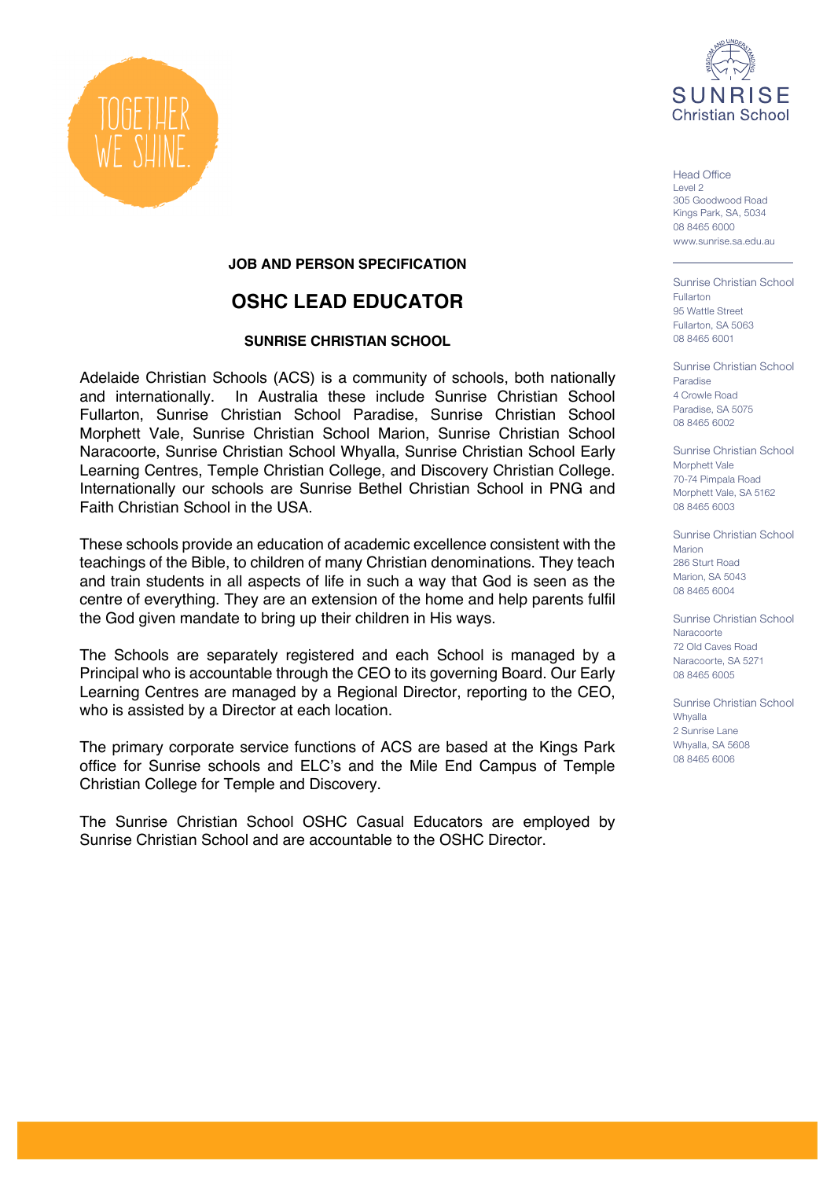

 $H$ ead Office Level 2 305 Goodwood Road Kings Park, SA, 5034 08 8465 6000 www.sunrise.sa.edu.au

Sunrise Christian School Fullarton 95 Wattle Street Fullarton, SA 5063 08 8465 6001

Sunrise Christian School Paradise 4 Crowle Road Paradise, SA 5075 08 8465 6002

Sunrise Christian School Morphett Vale 70-74 Pimpala Road Morphett Vale, SA 5162 08 8465 6003

Sunrise Christian School Marion 286 Sturt Road Marion, SA 5043 08 8465 6004

Sunrise Christian School Naracoorte 72 Old Caves Road Naracoorte, SA 5271 08 8465 6005

Sunrise Christian School Whyalla 2 Sunrise Lane Whyalla, SA 5608 08 8465 6006



## **JOB AND PERSON SPECIFICATION**

## **OSHC LEAD EDUCATOR**

#### **SUNRISE CHRISTIAN SCHOOL**

Adelaide Christian Schools (ACS) is a community of schools, both nationally and internationally. In Australia these include Sunrise Christian School Fullarton, Sunrise Christian School Paradise, Sunrise Christian School Morphett Vale, Sunrise Christian School Marion, Sunrise Christian School Naracoorte, Sunrise Christian School Whyalla, Sunrise Christian School Early Learning Centres, Temple Christian College, and Discovery Christian College. Internationally our schools are Sunrise Bethel Christian School in PNG and Faith Christian School in the USA.

These schools provide an education of academic excellence consistent with the teachings of the Bible, to children of many Christian denominations. They teach and train students in all aspects of life in such a way that God is seen as the centre of everything. They are an extension of the home and help parents fulfil the God given mandate to bring up their children in His ways.

The Schools are separately registered and each School is managed by a Principal who is accountable through the CEO to its governing Board. Our Early Learning Centres are managed by a Regional Director, reporting to the CEO, who is assisted by a Director at each location.

The primary corporate service functions of ACS are based at the Kings Park office for Sunrise schools and ELC's and the Mile End Campus of Temple Christian College for Temple and Discovery.

The Sunrise Christian School OSHC Casual Educators are employed by Sunrise Christian School and are accountable to the OSHC Director.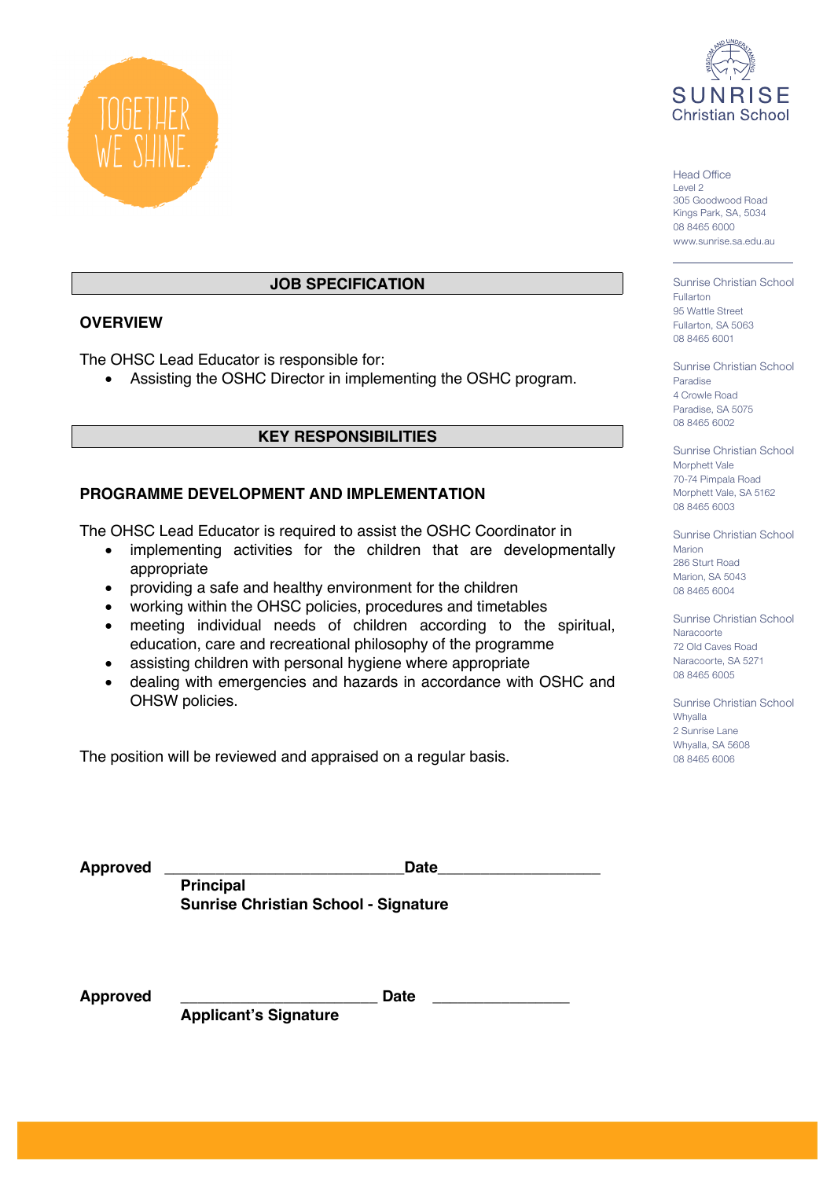



# **JOB SPECIFICATION**

#### **OVERVIEW**

The OHSC Lead Educator is responsible for:

• Assisting the OSHC Director in implementing the OSHC program.

## **KEY RESPONSIBILITIES**

## **PROGRAMME DEVELOPMENT AND IMPLEMENTATION**

The OHSC Lead Educator is required to assist the OSHC Coordinator in

- implementing activities for the children that are developmentally appropriate
- providing a safe and healthy environment for the children
- working within the OHSC policies, procedures and timetables
- meeting individual needs of children according to the spiritual, education, care and recreational philosophy of the programme
- assisting children with personal hygiene where appropriate
- dealing with emergencies and hazards in accordance with OSHC and OHSW policies.

The position will be reviewed and appraised on a regular basis.

 $H$ ead Office Level 2 305 Goodwood Road Kings Park, SA, 5034 08 8465 6000 www.sunrise.sa.edu.au

Sunrise Christian School Fullarton 95 Wattle Street Fullarton, SA 5063 08 8465 6001

Sunrise Christian School Paradise 4 Crowle Road Paradise, SA 5075 08 8465 6002

Sunrise Christian School Morphett Vale 70-74 Pimpala Road Morphett Vale, SA 5162 08 8465 6003

Sunrise Christian School Marion 286 Sturt Road Marion, SA 5043 08 8465 6004

Sunrise Christian School Naracoorte 72 Old Caves Road Naracoorte, SA 5271 08 8465 6005

Sunrise Christian School Whyalla 2 Sunrise Lane Whyalla, SA 5608 08 8465 6006

| Approved | <b>Date</b>                                 |  |
|----------|---------------------------------------------|--|
|          | <b>Principal</b>                            |  |
|          | <b>Sunrise Christian School - Signature</b> |  |

**Approved \_\_\_\_\_\_\_\_\_\_\_\_\_\_\_\_\_\_\_\_\_\_\_ Date \_\_\_\_\_\_\_\_\_\_\_\_\_\_\_\_**

**Applicant's Signature**